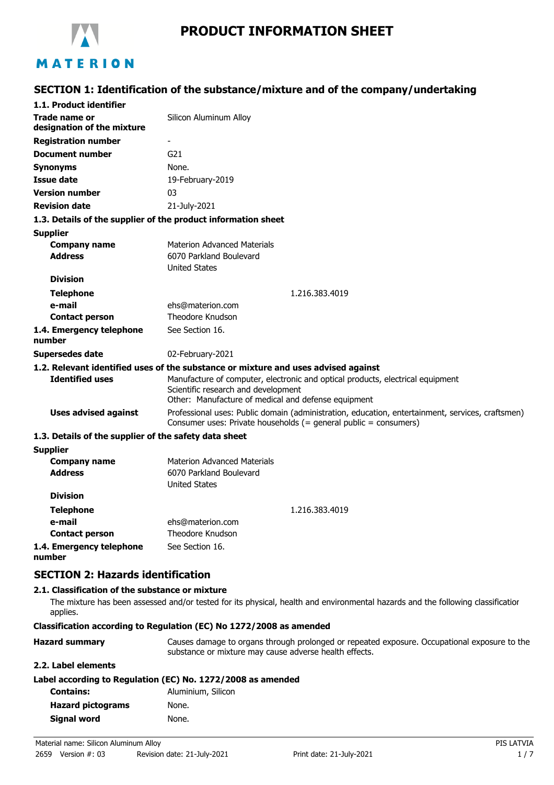

# **PRODUCT INFORMATION SHEET**

## **SECTION 1: Identification of the substance/mixture and of the company/undertaking**

| 1.1. Product identifier                               |                                                                                                                                                                              |  |
|-------------------------------------------------------|------------------------------------------------------------------------------------------------------------------------------------------------------------------------------|--|
| Trade name or<br>designation of the mixture           | Silicon Aluminum Alloy                                                                                                                                                       |  |
| <b>Registration number</b>                            |                                                                                                                                                                              |  |
| <b>Document number</b>                                | G <sub>21</sub>                                                                                                                                                              |  |
| <b>Synonyms</b>                                       | None.                                                                                                                                                                        |  |
| <b>Issue date</b>                                     | 19-February-2019                                                                                                                                                             |  |
| <b>Version number</b>                                 | 03                                                                                                                                                                           |  |
| <b>Revision date</b>                                  | 21-July-2021                                                                                                                                                                 |  |
|                                                       | 1.3. Details of the supplier of the product information sheet                                                                                                                |  |
| <b>Supplier</b>                                       |                                                                                                                                                                              |  |
| <b>Company name</b><br><b>Address</b>                 | <b>Materion Advanced Materials</b><br>6070 Parkland Boulevard<br><b>United States</b>                                                                                        |  |
| <b>Division</b>                                       |                                                                                                                                                                              |  |
| <b>Telephone</b>                                      | 1.216.383.4019                                                                                                                                                               |  |
| e-mail                                                | ehs@materion.com                                                                                                                                                             |  |
| <b>Contact person</b>                                 | Theodore Knudson                                                                                                                                                             |  |
| 1.4. Emergency telephone<br>number                    | See Section 16.                                                                                                                                                              |  |
| Supersedes date                                       | 02-February-2021                                                                                                                                                             |  |
|                                                       | 1.2. Relevant identified uses of the substance or mixture and uses advised against                                                                                           |  |
| <b>Identified uses</b>                                | Manufacture of computer, electronic and optical products, electrical equipment<br>Scientific research and development<br>Other: Manufacture of medical and defense equipment |  |
| <b>Uses advised against</b>                           | Professional uses: Public domain (administration, education, entertainment, services, craftsmen)<br>Consumer uses: Private households (= general public = consumers)         |  |
| 1.3. Details of the supplier of the safety data sheet |                                                                                                                                                                              |  |
| <b>Supplier</b>                                       |                                                                                                                                                                              |  |
| <b>Company name</b>                                   | <b>Materion Advanced Materials</b>                                                                                                                                           |  |
| <b>Address</b>                                        | 6070 Parkland Boulevard<br><b>United States</b>                                                                                                                              |  |
| <b>Division</b>                                       |                                                                                                                                                                              |  |
| <b>Telephone</b>                                      | 1.216.383.4019                                                                                                                                                               |  |
| e-mail                                                | ehs@materion.com                                                                                                                                                             |  |
| <b>Contact person</b>                                 | Theodore Knudson                                                                                                                                                             |  |
| 1.4. Emergency telephone<br>number                    | See Section 16.                                                                                                                                                              |  |

### **SECTION 2: Hazards identification**

#### **2.1. Classification of the substance or mixture**

The mixture has been assessed and/or tested for its physical, health and environmental hazards and the following classification applies.

#### **Classification according to Regulation (EC) No 1272/2008 as amended**

| <b>Hazard summary</b> | Causes damage to organs through prolonged or repeated exposure. Occupational exposure to the |
|-----------------------|----------------------------------------------------------------------------------------------|
|                       | substance or mixture may cause adverse health effects.                                       |

#### **2.2. Label elements**

|  |  | Label according to Regulation (EC) No. 1272/2008 as amended |  |  |  |
|--|--|-------------------------------------------------------------|--|--|--|
|--|--|-------------------------------------------------------------|--|--|--|

| <b>Contains:</b>         | Aluminium, Silicon |
|--------------------------|--------------------|
| <b>Hazard pictograms</b> | None.              |
| Signal word              | None.              |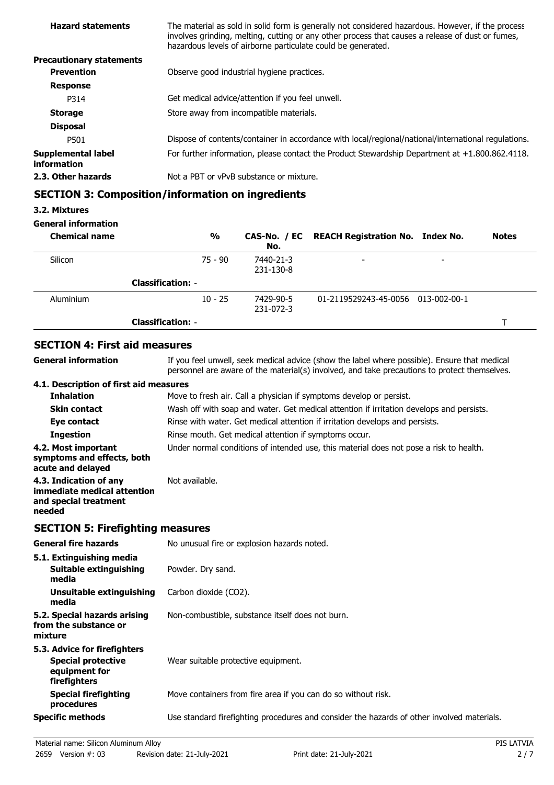| <b>Hazard statements</b>                 | The material as sold in solid form is generally not considered hazardous. However, if the process<br>involves grinding, melting, cutting or any other process that causes a release of dust or fumes,<br>hazardous levels of airborne particulate could be generated. |  |
|------------------------------------------|-----------------------------------------------------------------------------------------------------------------------------------------------------------------------------------------------------------------------------------------------------------------------|--|
| <b>Precautionary statements</b>          |                                                                                                                                                                                                                                                                       |  |
| <b>Prevention</b>                        | Observe good industrial hygiene practices.                                                                                                                                                                                                                            |  |
| <b>Response</b>                          |                                                                                                                                                                                                                                                                       |  |
| P314                                     | Get medical advice/attention if you feel unwell.                                                                                                                                                                                                                      |  |
| <b>Storage</b>                           | Store away from incompatible materials.                                                                                                                                                                                                                               |  |
| <b>Disposal</b>                          |                                                                                                                                                                                                                                                                       |  |
| P501                                     | Dispose of contents/container in accordance with local/regional/national/international regulations.                                                                                                                                                                   |  |
| <b>Supplemental label</b><br>information | For further information, please contact the Product Stewardship Department at $+1.800.862.4118$ .                                                                                                                                                                     |  |
| 2.3. Other hazards                       | Not a PBT or vPvB substance or mixture.                                                                                                                                                                                                                               |  |
|                                          |                                                                                                                                                                                                                                                                       |  |

# **SECTION 3: Composition/information on ingredients**

### **3.2. Mixtures**

#### **General information**

| <b>Chemical name</b> |                          | $\frac{0}{0}$ | No.                    | CAS-No. / EC REACH Registration No. Index No. |                          | <b>Notes</b> |
|----------------------|--------------------------|---------------|------------------------|-----------------------------------------------|--------------------------|--------------|
| Silicon              |                          | $75 - 90$     | 7440-21-3<br>231-130-8 |                                               | $\overline{\phantom{0}}$ |              |
|                      | <b>Classification: -</b> |               |                        |                                               |                          |              |
| Aluminium            |                          | $10 - 25$     | 7429-90-5<br>231-072-3 | 01-2119529243-45-0056 013-002-00-1            |                          |              |
|                      | <b>Classification: -</b> |               |                        |                                               |                          |              |

# **SECTION 4: First aid measures**

| General information                                                                      | If you feel unwell, seek medical advice (show the label where possible). Ensure that medical<br>personnel are aware of the material(s) involved, and take precautions to protect themselves. |
|------------------------------------------------------------------------------------------|----------------------------------------------------------------------------------------------------------------------------------------------------------------------------------------------|
| 4.1. Description of first aid measures                                                   |                                                                                                                                                                                              |
| <b>Inhalation</b>                                                                        | Move to fresh air. Call a physician if symptoms develop or persist.                                                                                                                          |
| <b>Skin contact</b>                                                                      | Wash off with soap and water. Get medical attention if irritation develops and persists.                                                                                                     |
| Eye contact                                                                              | Rinse with water. Get medical attention if irritation develops and persists.                                                                                                                 |
| <b>Ingestion</b>                                                                         | Rinse mouth. Get medical attention if symptoms occur.                                                                                                                                        |
| 4.2. Most important<br>symptoms and effects, both<br>acute and delayed                   | Under normal conditions of intended use, this material does not pose a risk to health.                                                                                                       |
| 4.3. Indication of any<br>immediate medical attention<br>and special treatment<br>needed | Not available.                                                                                                                                                                               |
|                                                                                          |                                                                                                                                                                                              |

# **SECTION 5: Firefighting measures**

| <b>General fire hazards</b>                                                                | No unusual fire or explosion hazards noted.                                                |
|--------------------------------------------------------------------------------------------|--------------------------------------------------------------------------------------------|
| 5.1. Extinguishing media<br>Suitable extinguishing<br>media                                | Powder. Dry sand.                                                                          |
| Unsuitable extinguishing<br>media                                                          | Carbon dioxide (CO2).                                                                      |
| 5.2. Special hazards arising<br>from the substance or<br>mixture                           | Non-combustible, substance itself does not burn.                                           |
| 5.3. Advice for firefighters<br><b>Special protective</b><br>equipment for<br>firefighters | Wear suitable protective equipment.                                                        |
| <b>Special firefighting</b><br>procedures                                                  | Move containers from fire area if you can do so without risk.                              |
| <b>Specific methods</b>                                                                    | Use standard firefighting procedures and consider the hazards of other involved materials. |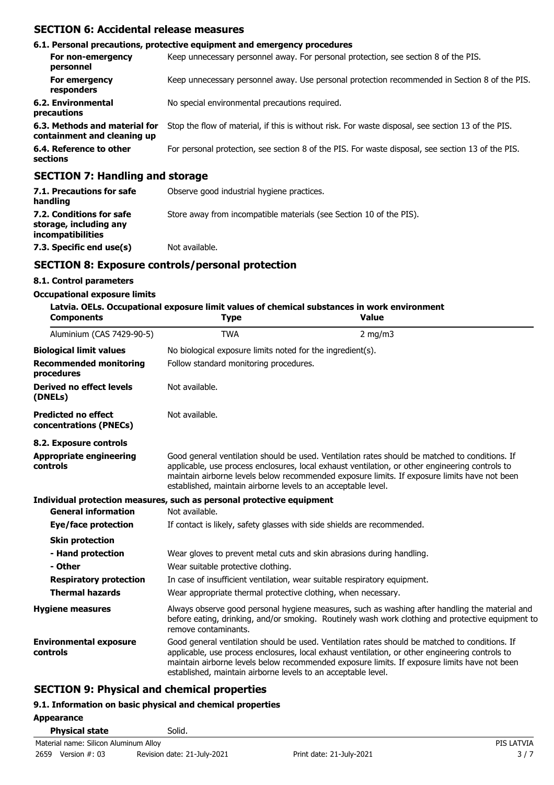### **SECTION 6: Accidental release measures**

|                                                              | 6.1. Personal precautions, protective equipment and emergency procedures                           |
|--------------------------------------------------------------|----------------------------------------------------------------------------------------------------|
| For non-emergency<br>personnel                               | Keep unnecessary personnel away. For personal protection, see section 8 of the PIS.                |
| For emergency<br>responders                                  | Keep unnecessary personnel away. Use personal protection recommended in Section 8 of the PIS.      |
| 6.2. Environmental<br>precautions                            | No special environmental precautions required.                                                     |
| 6.3. Methods and material for<br>containment and cleaning up | Stop the flow of material, if this is without risk. For waste disposal, see section 13 of the PIS. |
| 6.4. Reference to other<br>sections                          | For personal protection, see section 8 of the PIS. For waste disposal, see section 13 of the PIS.  |
| SECTION 7: Handling and storage                              |                                                                                                    |

### **SECTION 7: Handling and storage**

| 7.1. Precautions for safe<br>handling                                          | Observe good industrial hygiene practices.                          |
|--------------------------------------------------------------------------------|---------------------------------------------------------------------|
| 7.2. Conditions for safe<br>storage, including any<br><i>incompatibilities</i> | Store away from incompatible materials (see Section 10 of the PIS). |
| 7.3. Specific end use(s)                                                       | Not available.                                                      |

### **SECTION 8: Exposure controls/personal protection**

#### **8.1. Control parameters**

#### **Occupational exposure limits**

| 8.1. Control parameters                                                                                                            |                                                                                                                                                                                                                                                                                                                                                                    |                                                                                                                                                                                                                                                                                                   |  |  |
|------------------------------------------------------------------------------------------------------------------------------------|--------------------------------------------------------------------------------------------------------------------------------------------------------------------------------------------------------------------------------------------------------------------------------------------------------------------------------------------------------------------|---------------------------------------------------------------------------------------------------------------------------------------------------------------------------------------------------------------------------------------------------------------------------------------------------|--|--|
| <b>Occupational exposure limits</b><br>Latvia. OELs. Occupational exposure limit values of chemical substances in work environment |                                                                                                                                                                                                                                                                                                                                                                    |                                                                                                                                                                                                                                                                                                   |  |  |
| <b>Components</b>                                                                                                                  | <b>Type</b>                                                                                                                                                                                                                                                                                                                                                        | <b>Value</b>                                                                                                                                                                                                                                                                                      |  |  |
| Aluminium (CAS 7429-90-5)                                                                                                          | <b>TWA</b>                                                                                                                                                                                                                                                                                                                                                         | $2$ mg/m $3$                                                                                                                                                                                                                                                                                      |  |  |
| <b>Biological limit values</b>                                                                                                     | No biological exposure limits noted for the ingredient(s).                                                                                                                                                                                                                                                                                                         |                                                                                                                                                                                                                                                                                                   |  |  |
| <b>Recommended monitoring</b><br>procedures                                                                                        | Follow standard monitoring procedures.                                                                                                                                                                                                                                                                                                                             |                                                                                                                                                                                                                                                                                                   |  |  |
| <b>Derived no effect levels</b><br>(DNELs)                                                                                         | Not available.                                                                                                                                                                                                                                                                                                                                                     |                                                                                                                                                                                                                                                                                                   |  |  |
| <b>Predicted no effect</b><br>concentrations (PNECs)                                                                               | Not available.                                                                                                                                                                                                                                                                                                                                                     |                                                                                                                                                                                                                                                                                                   |  |  |
| 8.2. Exposure controls                                                                                                             |                                                                                                                                                                                                                                                                                                                                                                    |                                                                                                                                                                                                                                                                                                   |  |  |
| <b>Appropriate engineering</b><br><b>controls</b>                                                                                  | Good general ventilation should be used. Ventilation rates should be matched to conditions. If<br>applicable, use process enclosures, local exhaust ventilation, or other engineering controls to<br>maintain airborne levels below recommended exposure limits. If exposure limits have not been<br>established, maintain airborne levels to an acceptable level. |                                                                                                                                                                                                                                                                                                   |  |  |
|                                                                                                                                    | Individual protection measures, such as personal protective equipment                                                                                                                                                                                                                                                                                              |                                                                                                                                                                                                                                                                                                   |  |  |
| <b>General information</b>                                                                                                         | Not available.                                                                                                                                                                                                                                                                                                                                                     |                                                                                                                                                                                                                                                                                                   |  |  |
| <b>Eye/face protection</b>                                                                                                         | If contact is likely, safety glasses with side shields are recommended.                                                                                                                                                                                                                                                                                            |                                                                                                                                                                                                                                                                                                   |  |  |
| <b>Skin protection</b>                                                                                                             |                                                                                                                                                                                                                                                                                                                                                                    |                                                                                                                                                                                                                                                                                                   |  |  |
| - Hand protection                                                                                                                  | Wear gloves to prevent metal cuts and skin abrasions during handling.                                                                                                                                                                                                                                                                                              |                                                                                                                                                                                                                                                                                                   |  |  |
| - Other                                                                                                                            | Wear suitable protective clothing.                                                                                                                                                                                                                                                                                                                                 |                                                                                                                                                                                                                                                                                                   |  |  |
| <b>Respiratory protection</b>                                                                                                      | In case of insufficient ventilation, wear suitable respiratory equipment.                                                                                                                                                                                                                                                                                          |                                                                                                                                                                                                                                                                                                   |  |  |
| <b>Thermal hazards</b>                                                                                                             | Wear appropriate thermal protective clothing, when necessary.                                                                                                                                                                                                                                                                                                      |                                                                                                                                                                                                                                                                                                   |  |  |
| <b>Hygiene measures</b>                                                                                                            | remove contaminants.                                                                                                                                                                                                                                                                                                                                               | Always observe good personal hygiene measures, such as washing after handling the material and<br>before eating, drinking, and/or smoking. Routinely wash work clothing and protective equipment to                                                                                               |  |  |
| <b>Environmental exposure</b><br>controls                                                                                          | established, maintain airborne levels to an acceptable level.                                                                                                                                                                                                                                                                                                      | Good general ventilation should be used. Ventilation rates should be matched to conditions. If<br>applicable, use process enclosures, local exhaust ventilation, or other engineering controls to<br>maintain airborne levels below recommended exposure limits. If exposure limits have not been |  |  |

# **SECTION 9: Physical and chemical properties**

### **9.1. Information on basic physical and chemical properties**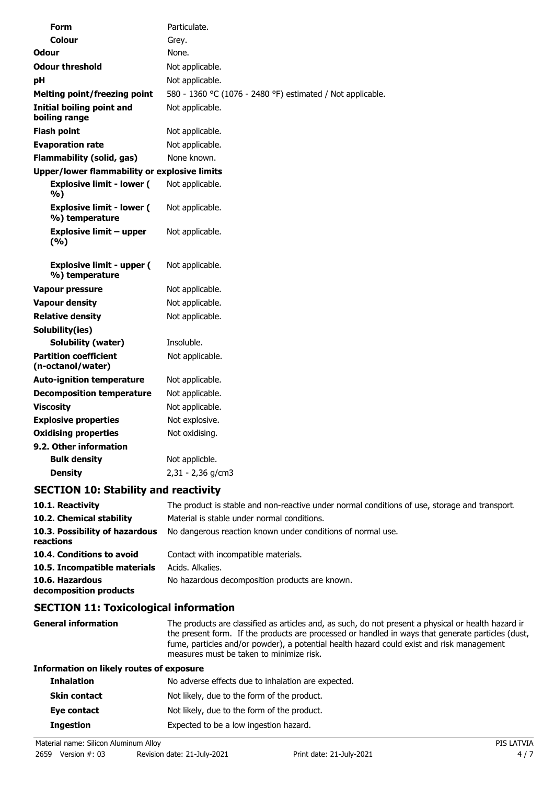| Form                                                | Particulate.                                               |  |  |
|-----------------------------------------------------|------------------------------------------------------------|--|--|
| Colour                                              | Grey.                                                      |  |  |
| Odour                                               | None.                                                      |  |  |
| <b>Odour threshold</b>                              | Not applicable.                                            |  |  |
| рH                                                  | Not applicable.                                            |  |  |
| <b>Melting point/freezing point</b>                 | 580 - 1360 °C (1076 - 2480 °F) estimated / Not applicable. |  |  |
| <b>Initial boiling point and</b><br>boiling range   | Not applicable.                                            |  |  |
| <b>Flash point</b>                                  | Not applicable.                                            |  |  |
| <b>Evaporation rate</b>                             | Not applicable.                                            |  |  |
| <b>Flammability (solid, gas)</b>                    | None known.                                                |  |  |
| <b>Upper/lower flammability or explosive limits</b> |                                                            |  |  |
| <b>Explosive limit - lower (</b><br>%)              | Not applicable.                                            |  |  |
| <b>Explosive limit - lower (</b><br>%) temperature  | Not applicable.                                            |  |  |
| <b>Explosive limit - upper</b><br>(9/6)             | Not applicable.                                            |  |  |
| <b>Explosive limit - upper (</b><br>%) temperature  | Not applicable.                                            |  |  |
| <b>Vapour pressure</b>                              | Not applicable.                                            |  |  |
| <b>Vapour density</b>                               | Not applicable.                                            |  |  |
| <b>Relative density</b>                             | Not applicable.                                            |  |  |
| Solubility(ies)                                     |                                                            |  |  |
| <b>Solubility (water)</b>                           | Insoluble.                                                 |  |  |
| <b>Partition coefficient</b><br>(n-octanol/water)   | Not applicable.                                            |  |  |
| <b>Auto-ignition temperature</b>                    | Not applicable.                                            |  |  |
| <b>Decomposition temperature</b>                    | Not applicable.                                            |  |  |
| <b>Viscosity</b>                                    | Not applicable.                                            |  |  |
| <b>Explosive properties</b>                         | Not explosive.                                             |  |  |
| <b>Oxidising properties</b>                         | Not oxidising.                                             |  |  |
| 9.2. Other information                              |                                                            |  |  |
| <b>Bulk density</b>                                 | Not applicble.                                             |  |  |
| <b>Density</b>                                      | 2,31 - 2,36 g/cm3                                          |  |  |
| CECTION 10. Ctability and reactivity                |                                                            |  |  |

### **SECTION 10: Stability and reactivity**

| 10.1. Reactivity                            | The product is stable and non-reactive under normal conditions of use, storage and transport. |
|---------------------------------------------|-----------------------------------------------------------------------------------------------|
| 10.2. Chemical stability                    | Material is stable under normal conditions.                                                   |
| 10.3. Possibility of hazardous<br>reactions | No dangerous reaction known under conditions of normal use.                                   |
| 10.4. Conditions to avoid                   | Contact with incompatible materials.                                                          |
| 10.5. Incompatible materials                | Acids. Alkalies.                                                                              |
| 10.6. Hazardous<br>decomposition products   | No hazardous decomposition products are known.                                                |
|                                             |                                                                                               |

# **SECTION 11: Toxicological information**

| <b>General information</b>               | The products are classified as articles and, as such, do not present a physical or health hazard ir<br>the present form. If the products are processed or handled in ways that generate particles (dust,<br>fume, particles and/or powder), a potential health hazard could exist and risk management<br>measures must be taken to minimize risk. |
|------------------------------------------|---------------------------------------------------------------------------------------------------------------------------------------------------------------------------------------------------------------------------------------------------------------------------------------------------------------------------------------------------|
| Information on likely routes of exposure |                                                                                                                                                                                                                                                                                                                                                   |
| <b>Inhalation</b>                        | No adverse effects due to inhalation are expected.                                                                                                                                                                                                                                                                                                |
| <b>Skin contact</b>                      | Not likely, due to the form of the product.                                                                                                                                                                                                                                                                                                       |
| Eye contact                              | Not likely, due to the form of the product.                                                                                                                                                                                                                                                                                                       |
| <b>Ingestion</b>                         | Expected to be a low ingestion hazard.                                                                                                                                                                                                                                                                                                            |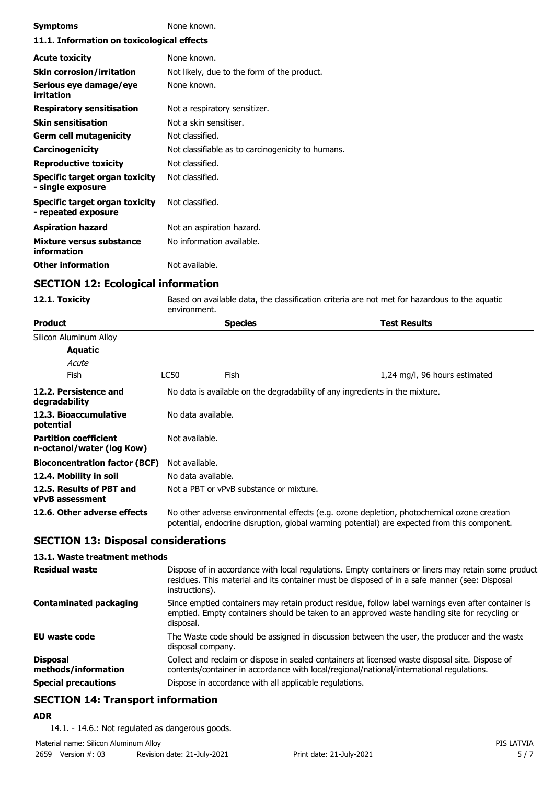| <b>Symptoms</b>                                       | None known.                                       |  |
|-------------------------------------------------------|---------------------------------------------------|--|
| 11.1. Information on toxicological effects            |                                                   |  |
| <b>Acute toxicity</b>                                 | None known.                                       |  |
| <b>Skin corrosion/irritation</b>                      | Not likely, due to the form of the product.       |  |
| Serious eye damage/eye<br>irritation                  | None known.                                       |  |
| <b>Respiratory sensitisation</b>                      | Not a respiratory sensitizer.                     |  |
| <b>Skin sensitisation</b>                             | Not a skin sensitiser.                            |  |
| Germ cell mutagenicity                                | Not classified.                                   |  |
| <b>Carcinogenicity</b>                                | Not classifiable as to carcinogenicity to humans. |  |
| <b>Reproductive toxicity</b>                          | Not classified.                                   |  |
| Specific target organ toxicity<br>- single exposure   | Not classified.                                   |  |
| Specific target organ toxicity<br>- repeated exposure | Not classified.                                   |  |
| <b>Aspiration hazard</b>                              | Not an aspiration hazard.                         |  |
| Mixture versus substance<br>information               | No information available.                         |  |
| <b>Other information</b>                              | Not available.                                    |  |

## **SECTION 12: Ecological information**

**12.1. Toxicity** Based on available data, the classification criteria are not met for hazardous to the aquatic environment.

| Product                                                   | <b>Species</b>                          | <b>Test Results</b>                                                                                                                                                                        |
|-----------------------------------------------------------|-----------------------------------------|--------------------------------------------------------------------------------------------------------------------------------------------------------------------------------------------|
| Silicon Aluminum Alloy                                    |                                         |                                                                                                                                                                                            |
| Aquatic                                                   |                                         |                                                                                                                                                                                            |
| Acute                                                     |                                         |                                                                                                                                                                                            |
| <b>Fish</b>                                               | LC50<br>Fish                            | 1,24 mg/l, 96 hours estimated                                                                                                                                                              |
| 12.2. Persistence and<br>degradability                    |                                         | No data is available on the degradability of any ingredients in the mixture.                                                                                                               |
| 12.3. Bioaccumulative<br>potential                        | No data available.                      |                                                                                                                                                                                            |
| <b>Partition coefficient</b><br>n-octanol/water (log Kow) | Not available.                          |                                                                                                                                                                                            |
| <b>Bioconcentration factor (BCF)</b>                      | Not available.                          |                                                                                                                                                                                            |
| 12.4. Mobility in soil                                    | No data available.                      |                                                                                                                                                                                            |
| 12.5. Results of PBT and<br>vPvB assessment               | Not a PBT or vPvB substance or mixture. |                                                                                                                                                                                            |
| 12.6. Other adverse effects                               |                                         | No other adverse environmental effects (e.g. ozone depletion, photochemical ozone creation<br>potential, endocrine disruption, global warming potential) are expected from this component. |

## **SECTION 13: Disposal considerations**

### **13.1. Waste treatment methods**

| <b>Residual waste</b>                  | Dispose of in accordance with local regulations. Empty containers or liners may retain some product<br>residues. This material and its container must be disposed of in a safe manner (see: Disposal<br>instructions). |
|----------------------------------------|------------------------------------------------------------------------------------------------------------------------------------------------------------------------------------------------------------------------|
| <b>Contaminated packaging</b>          | Since emptied containers may retain product residue, follow label warnings even after container is<br>emptied. Empty containers should be taken to an approved waste handling site for recycling or<br>disposal.       |
| EU waste code                          | The Waste code should be assigned in discussion between the user, the producer and the waste<br>disposal company.                                                                                                      |
| <b>Disposal</b><br>methods/information | Collect and reclaim or dispose in sealed containers at licensed waste disposal site. Dispose of<br>contents/container in accordance with local/regional/national/international regulations.                            |
| <b>Special precautions</b>             | Dispose in accordance with all applicable regulations.                                                                                                                                                                 |

# **SECTION 14: Transport information**

**ADR**

14.1. - 14.6.: Not regulated as dangerous goods.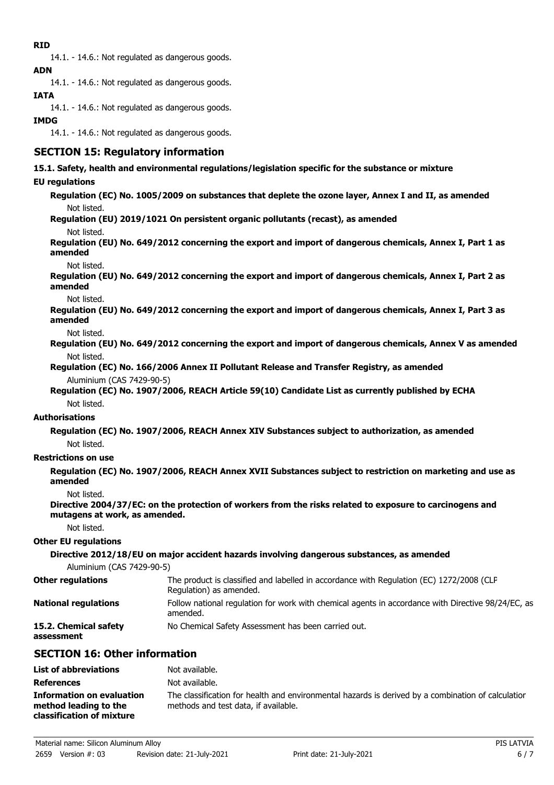## **RID**

14.1. - 14.6.: Not regulated as dangerous goods. **ADN**

14.1. - 14.6.: Not regulated as dangerous goods.

## **IATA**

14.1. - 14.6.: Not regulated as dangerous goods.

### **IMDG**

14.1. - 14.6.: Not regulated as dangerous goods.

## **SECTION 15: Regulatory information**

### **15.1. Safety, health and environmental regulations/legislation specific for the substance or mixture**

### **EU regulations**

**Regulation (EC) No. 1005/2009 on substances that deplete the ozone layer, Annex I and II, as amended** Not listed.

**Regulation (EU) 2019/1021 On persistent organic pollutants (recast), as amended**

Not listed.

**Regulation (EU) No. 649/2012 concerning the export and import of dangerous chemicals, Annex I, Part 1 as amended**

Not listed.

**Regulation (EU) No. 649/2012 concerning the export and import of dangerous chemicals, Annex I, Part 2 as amended**

Not listed.

**Regulation (EU) No. 649/2012 concerning the export and import of dangerous chemicals, Annex I, Part 3 as amended**

Not listed.

- **Regulation (EU) No. 649/2012 concerning the export and import of dangerous chemicals, Annex V as amended** Not listed.
- **Regulation (EC) No. 166/2006 Annex II Pollutant Release and Transfer Registry, as amended** Aluminium (CAS 7429-90-5)

**Regulation (EC) No. 1907/2006, REACH Article 59(10) Candidate List as currently published by ECHA** Not listed.

#### **Authorisations**

**Regulation (EC) No. 1907/2006, REACH Annex XIV Substances subject to authorization, as amended** Not listed.

### **Restrictions on use**

**Regulation (EC) No. 1907/2006, REACH Annex XVII Substances subject to restriction on marketing and use as amended**

Not listed.

**Directive 2004/37/EC: on the protection of workers from the risks related to exposure to carcinogens and mutagens at work, as amended.**

Not listed.

### **Other EU regulations**

### **Directive 2012/18/EU on major accident hazards involving dangerous substances, as amended**

Aluminium (CAS 7429-90-5)

| <b>Other regulations</b>    | The product is classified and labelled in accordance with Regulation (EC) 1272/2008 (CLP<br>Regulation) as amended. |
|-----------------------------|---------------------------------------------------------------------------------------------------------------------|
| <b>National regulations</b> | Follow national regulation for work with chemical agents in accordance with Directive 98/24/EC, as<br>amended.      |
| 15.2. Chemical safety       | No Chemical Safety Assessment has been carried out.                                                                 |

**assessment**

## **SECTION 16: Other information**

| <b>List of abbreviations</b>                                                           | Not available.                                                                                                                             |
|----------------------------------------------------------------------------------------|--------------------------------------------------------------------------------------------------------------------------------------------|
| <b>References</b>                                                                      | Not available.                                                                                                                             |
| <b>Information on evaluation</b><br>method leading to the<br>classification of mixture | The classification for health and environmental hazards is derived by a combination of calculatior<br>methods and test data, if available. |